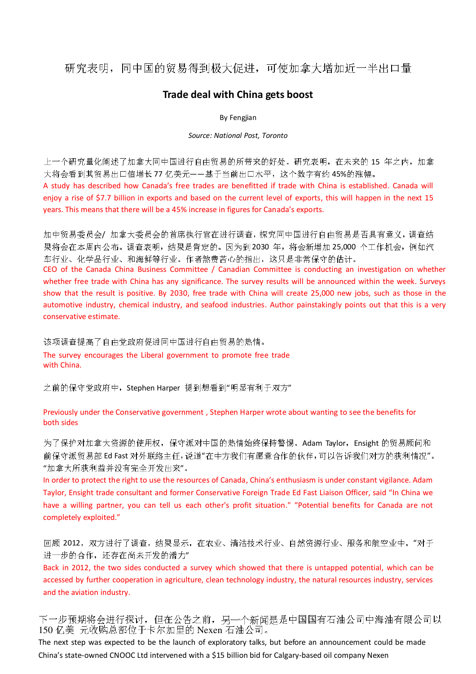## 研究表明,同中国的贸易得到极大促进,可使加拿大增加近一半出口量

### Trade deal with China gets boost

#### By Fengjian

#### Source: National Post, Toronto

上一个研究量化阐述了加拿大同中国进行自由贸易的所带来的好处。研究表明,在未来的 15 年之内,加拿 大将会看到其贸易出口值增长 77 亿美元——基于当前出口水平,这个数字有约 45%的涨幅。

A study has described how Canada's free trades are benefitted if trade with China is established. Canada will enjoy a rise of \$7.7 billion in exports and based on the current level of exports, this will happen in the next 15 years. This means that there will be a 45% increase in figures for Canada's exports.

加中贸易委员会/ 加拿大委员会的首席执行官在进行调查,探究同中国进行自由贸易是否具有意义,调查结 果将会在本周内公布。调查表明,结果是肯定的。因为到 2030 年,将会新增加 25,000 个工作机会,例如汽 车行业、化学品行业、和海鲜等行业。作者煞费苦心的指出,这只是非常保守的估计。

CEO of the Canada China Business Committee / Canadian Committee is conducting an investigation on whether whether free trade with China has any significance. The survey results will be announced within the week. Surveys show that the result is positive. By 2030, free trade with China will create 25,000 new jobs, such as those in the automotive industry, chemical industry, and seafood industries. Author painstakingly points out that this is a very conservative estimate.

该项调查提高了自由党政府促进同中国进行自由贸易的热情。 The survey encourages the Liberal government to promote free trade with China.

之前的保守党政府中,Stephen Harper 提到想看到"明显有利于双方"

#### Previously under the Conservative government , Stephen Harper wrote about wanting to see the benefits for both sides

为了保护对加拿大资源的使用权,保守派对中国的热情始终保持警惕。Adam Taylor, Ensight 的贸易顾问和 前保守派贸易部 Ed Fast 对外联络主任,说道"在中方我们有愿意合作的伙伴,可以告诉我们对方的获利情况"。 "加拿大所获利益并没有完全开发出来"。

In order to protect the right to use the resources of Canada, China's enthusiasm is under constant vigilance. Adam Taylor, Ensight trade consultant and former Conservative Foreign Trade Ed Fast Liaison Officer, said "In China we have a willing partner, you can tell us each other's profit situation." "Potential benefits for Canada are not completely exploited."

回顾 2012,双方进行了调查,结果显示,在农业、清洁技术行业、自然资源行业、服务和航空业中,"对于 进一步的合作,还存在尚未开发的潜力"

Back in 2012, the two sides conducted a survey which showed that there is untapped potential, which can be accessed by further cooperation in agriculture, clean technology industry, the natural resources industry, services and the aviation industry.

下一步预期将会进行探讨,但在公告之前,另一个新闻是是中国国有石油公司中海油有限公司以 150 亿美 元收购总部位于卡尔加里的 Nexen 石油公司。

The next step was expected to be the launch of exploratory talks, but before an announcement could be made China's state-owned CNOOC Ltd intervened with a \$15 billion bid for Calgary-based oil company Nexen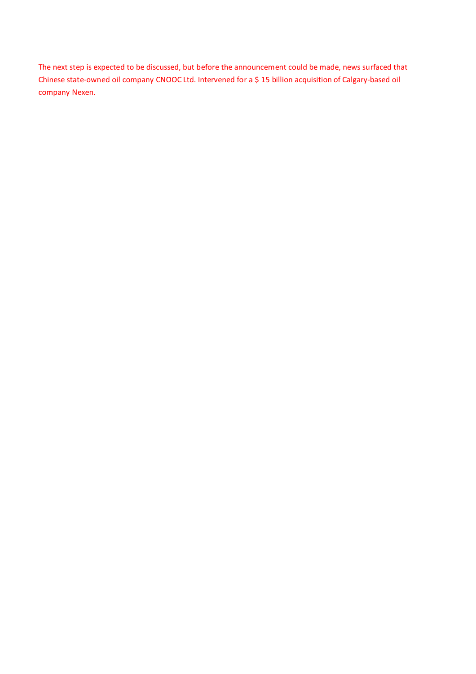The next step is expected to be discussed, but before the announcement could be made, news surfaced that Chinese state-owned oil company CNOOC Ltd. Intervened for a \$ 15 billion acquisition of Calgary-based oil company Nexen.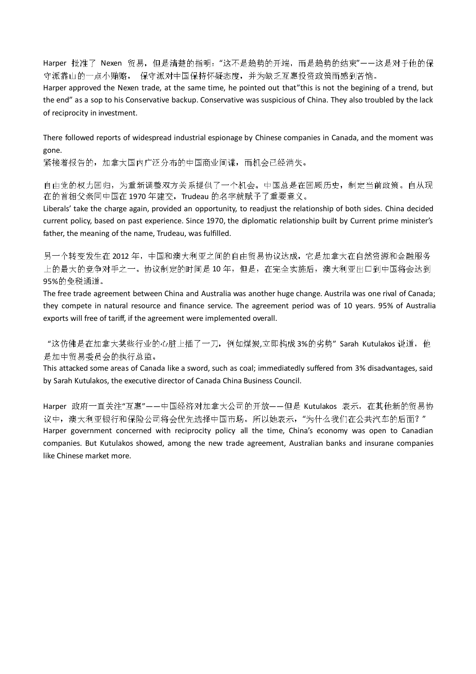Harper 批准了 Nexen 贸易, 但是清楚的指明: "这不是趋势的开端, 而是趋势的结束"——这是对于他的保 守派靠山的一点小贿赂, 保守派对中国保持怀疑态度,并为缺乏互惠投资政策而感到苦恼。

Harper approved the Nexen trade, at the same time, he pointed out that"this is not the begining of a trend, but the end" as a sop to his Conservative backup. Conservative was suspicious of China. They also troubled by the lack of reciprocity in investment.

There followed reports of widespread industrial espionage by Chinese companies in Canada, and the moment was gone.

紧接着报告的,加拿大国内广泛分布的中国商业间谍,而机会已经消失。

自由党的权力回归,为重新调整双方关系提供了一个机会。中国总是在回顾历史,制定当前政策。自从现 在的首相父亲同中国在 1970 年建交,Trudeau 的名字就赋予了重要意义。

Liberals' take the charge again, provided an opportunity, to readjust the relationship of both sides. China decided current policy, based on past experience. Since 1970, the diplomatic relationship built by Current prime minister's father, the meaning of the name, Trudeau, was fulfilled.

另一个转变发生在 2012 年,中国和澳大利亚之间的自由贸易协议达成,它是加拿大在自然资源和金融服务 上的最大的竞争对手之一。协议制定的时间是 10 年,但是,在完全实施后,澳大利亚出口到中国将会达到 95%的免税通道。

The free trade agreement between China and Australia was another huge change. Austrila was one rival of Canada; they compete in natural resource and finance service. The agreement period was of 10 years. 95% of Australia exports will free of tariff, if the agreement were implemented overall.

"这仿佛是在加拿大某些行业的心脏上插了一刀,例如煤炭,立即构成 3%的劣势" Sarah Kutulakos 说道,他 是加中贸易委员会的执行总监。

This attacked some areas of Canada like a sword, such as coal; immediatedly suffered from 3% disadvantages, said by Sarah Kutulakos, the executive director of Canada China Business Council.

Harper 政府一直关注"互惠"——中国经济对加拿大公司的开放——但是 Kutulakos 表示,在其他新的贸易协 议中,澳大利亚银行和保险公司将会优先选择中国市场。所以她表示,"为什么我们在公共汽车的后面?" Harper government concerned with reciprocity policy all the time, China's economy was open to Canadian companies. But Kutulakos showed, among the new trade agreement, Australian banks and insurane companies like Chinese market more.